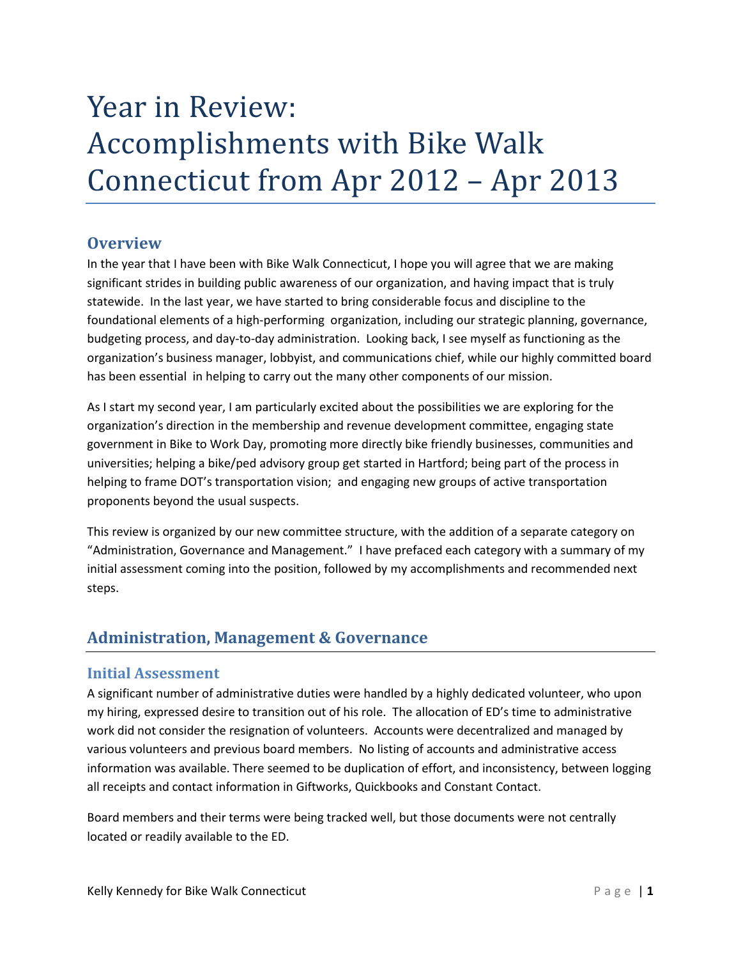# Year in Review: Accomplishments with Bike Walk Connecticut from Apr 2012 – Apr 2013

# **Overview**

In the year that I have been with Bike Walk Connecticut, I hope you will agree that we are making significant strides in building public awareness of our organization, and having impact that is truly statewide. In the last year, we have started to bring considerable focus and discipline to the foundational elements of a high-performing organization, including our strategic planning, governance, budgeting process, and day-to-day administration. Looking back, I see myself as functioning as the organization's business manager, lobbyist, and communications chief, while our highly committed board has been essential in helping to carry out the many other components of our mission.

As I start my second year, I am particularly excited about the possibilities we are exploring for the organization's direction in the membership and revenue development committee, engaging state government in Bike to Work Day, promoting more directly bike friendly businesses, communities and universities; helping a bike/ped advisory group get started in Hartford; being part of the process in helping to frame DOT's transportation vision; and engaging new groups of active transportation proponents beyond the usual suspects.

This review is organized by our new committee structure, with the addition of a separate category on "Administration, Governance and Management." I have prefaced each category with a summary of my initial assessment coming into the position, followed by my accomplishments and recommended next steps.

# **Administration, Management & Governance**

# **Initial Assessment**

A significant number of administrative duties were handled by a highly dedicated volunteer, who upon my hiring, expressed desire to transition out of his role. The allocation of ED's time to administrative work did not consider the resignation of volunteers. Accounts were decentralized and managed by various volunteers and previous board members. No listing of accounts and administrative access information was available. There seemed to be duplication of effort, and inconsistency, between logging all receipts and contact information in Giftworks, Quickbooks and Constant Contact.

Board members and their terms were being tracked well, but those documents were not centrally located or readily available to the ED.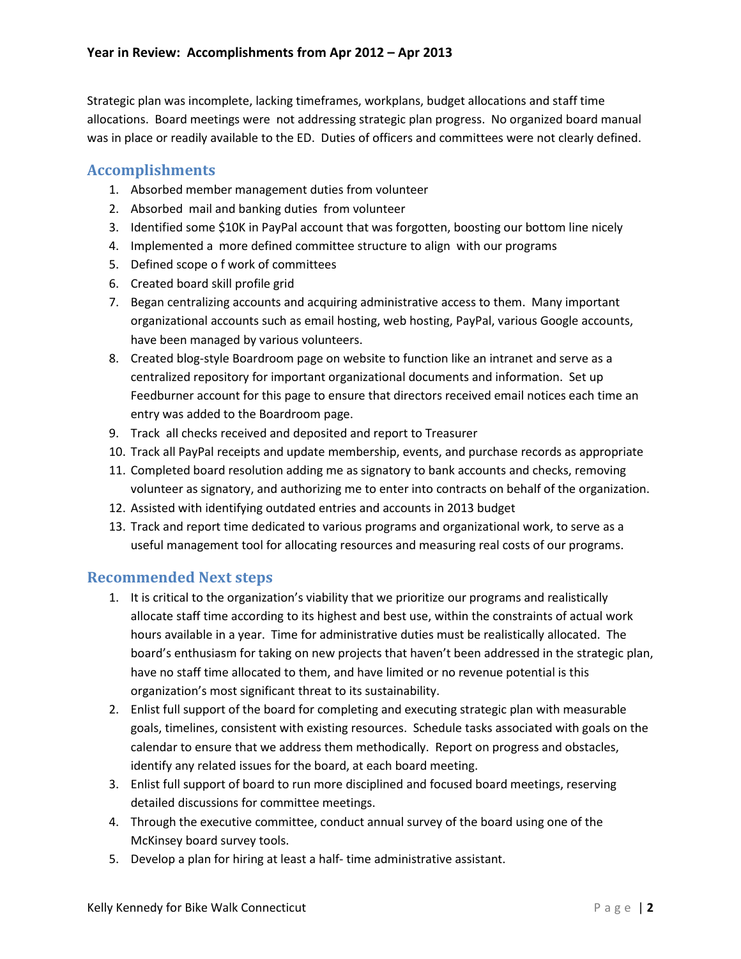Strategic plan was incomplete, lacking timeframes, workplans, budget allocations and staff time allocations. Board meetings were not addressing strategic plan progress. No organized board manual was in place or readily available to the ED. Duties of officers and committees were not clearly defined.

# **Accomplishments**

- 1. Absorbed member management duties from volunteer
- 2. Absorbed mail and banking duties from volunteer
- 3. Identified some \$10K in PayPal account that was forgotten, boosting our bottom line nicely
- 4. Implemented a more defined committee structure to align with our programs
- 5. Defined scope o f work of committees
- 6. Created board skill profile grid
- 7. Began centralizing accounts and acquiring administrative access to them. Many important organizational accounts such as email hosting, web hosting, PayPal, various Google accounts, have been managed by various volunteers.
- 8. Created blog-style Boardroom page on website to function like an intranet and serve as a centralized repository for important organizational documents and information. Set up Feedburner account for this page to ensure that directors received email notices each time an entry was added to the Boardroom page.
- 9. Track all checks received and deposited and report to Treasurer
- 10. Track all PayPal receipts and update membership, events, and purchase records as appropriate
- 11. Completed board resolution adding me as signatory to bank accounts and checks, removing volunteer as signatory, and authorizing me to enter into contracts on behalf of the organization.
- 12. Assisted with identifying outdated entries and accounts in 2013 budget
- 13. Track and report time dedicated to various programs and organizational work, to serve as a useful management tool for allocating resources and measuring real costs of our programs.

# **Recommended Next steps**

- 1. It is critical to the organization's viability that we prioritize our programs and realistically allocate staff time according to its highest and best use, within the constraints of actual work hours available in a year. Time for administrative duties must be realistically allocated. The board's enthusiasm for taking on new projects that haven't been addressed in the strategic plan, have no staff time allocated to them, and have limited or no revenue potential is this organization's most significant threat to its sustainability.
- 2. Enlist full support of the board for completing and executing strategic plan with measurable goals, timelines, consistent with existing resources. Schedule tasks associated with goals on the calendar to ensure that we address them methodically. Report on progress and obstacles, identify any related issues for the board, at each board meeting.
- 3. Enlist full support of board to run more disciplined and focused board meetings, reserving detailed discussions for committee meetings.
- 4. Through the executive committee, conduct annual survey of the board using one of the McKinsey board survey tools.
- 5. Develop a plan for hiring at least a half- time administrative assistant.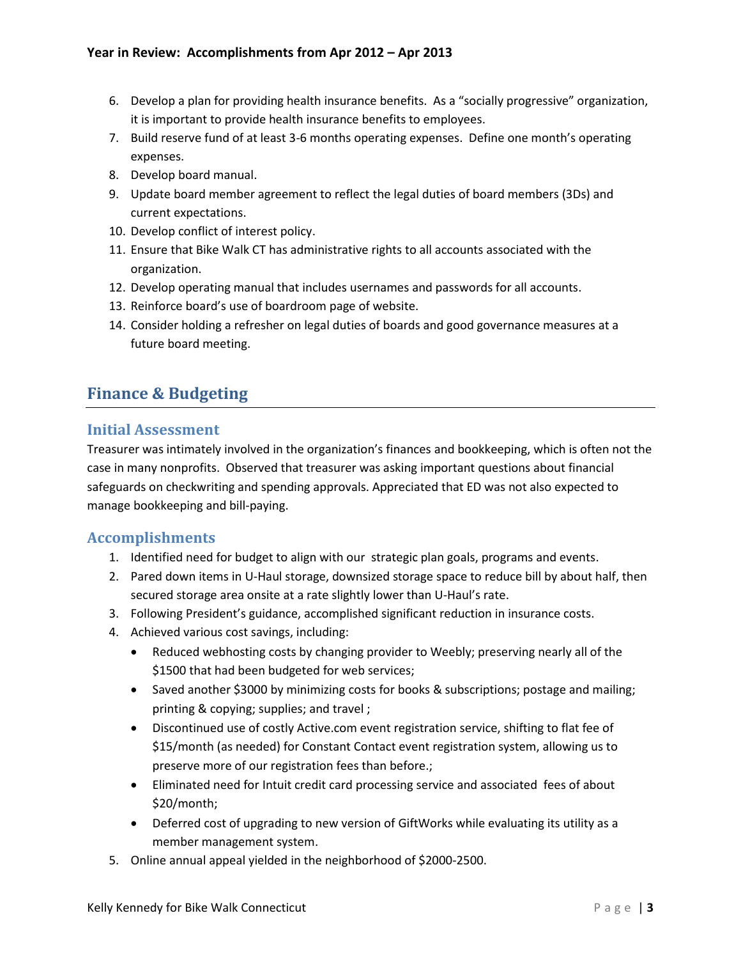- 6. Develop a plan for providing health insurance benefits. As a "socially progressive" organization, it is important to provide health insurance benefits to employees.
- 7. Build reserve fund of at least 3-6 months operating expenses. Define one month's operating expenses.
- 8. Develop board manual.
- 9. Update board member agreement to reflect the legal duties of board members (3Ds) and current expectations.
- 10. Develop conflict of interest policy.
- 11. Ensure that Bike Walk CT has administrative rights to all accounts associated with the organization.
- 12. Develop operating manual that includes usernames and passwords for all accounts.
- 13. Reinforce board's use of boardroom page of website.
- 14. Consider holding a refresher on legal duties of boards and good governance measures at a future board meeting.

# **Finance & Budgeting**

#### **Initial Assessment**

Treasurer was intimately involved in the organization's finances and bookkeeping, which is often not the case in many nonprofits. Observed that treasurer was asking important questions about financial safeguards on checkwriting and spending approvals. Appreciated that ED was not also expected to manage bookkeeping and bill-paying.

# **Accomplishments**

- 1. Identified need for budget to align with our strategic plan goals, programs and events.
- 2. Pared down items in U-Haul storage, downsized storage space to reduce bill by about half, then secured storage area onsite at a rate slightly lower than U-Haul's rate.
- 3. Following President's guidance, accomplished significant reduction in insurance costs.
- 4. Achieved various cost savings, including:
	- Reduced webhosting costs by changing provider to Weebly; preserving nearly all of the \$1500 that had been budgeted for web services;
	- Saved another \$3000 by minimizing costs for books & subscriptions; postage and mailing; printing & copying; supplies; and travel ;
	- Discontinued use of costly Active.com event registration service, shifting to flat fee of \$15/month (as needed) for Constant Contact event registration system, allowing us to preserve more of our registration fees than before.;
	- Eliminated need for Intuit credit card processing service and associated fees of about \$20/month;
	- Deferred cost of upgrading to new version of GiftWorks while evaluating its utility as a member management system.
- 5. Online annual appeal yielded in the neighborhood of \$2000-2500.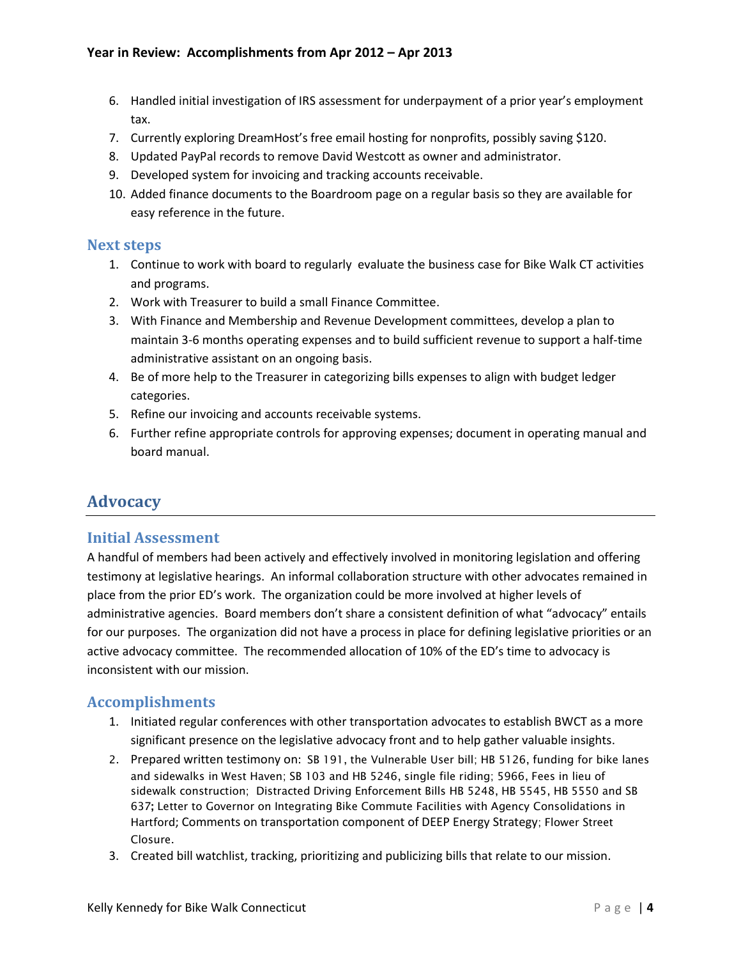- 6. Handled initial investigation of IRS assessment for underpayment of a prior year's employment tax.
- 7. Currently exploring DreamHost's free email hosting for nonprofits, possibly saving \$120.
- 8. Updated PayPal records to remove David Westcott as owner and administrator.
- 9. Developed system for invoicing and tracking accounts receivable.
- 10. Added finance documents to the Boardroom page on a regular basis so they are available for easy reference in the future.

# **Next steps**

- 1. Continue to work with board to regularly evaluate the business case for Bike Walk CT activities and programs.
- 2. Work with Treasurer to build a small Finance Committee.
- 3. With Finance and Membership and Revenue Development committees, develop a plan to maintain 3-6 months operating expenses and to build sufficient revenue to support a half-time administrative assistant on an ongoing basis.
- 4. Be of more help to the Treasurer in categorizing bills expenses to align with budget ledger categories.
- 5. Refine our invoicing and accounts receivable systems.
- 6. Further refine appropriate controls for approving expenses; document in operating manual and board manual.

# **Advocacy**

# **Initial Assessment**

A handful of members had been actively and effectively involved in monitoring legislation and offering testimony at legislative hearings. An informal collaboration structure with other advocates remained in place from the prior ED's work. The organization could be more involved at higher levels of administrative agencies. Board members don't share a consistent definition of what "advocacy" entails for our purposes. The organization did not have a process in place for defining legislative priorities or an active advocacy committee. The recommended allocation of 10% of the ED's time to advocacy is inconsistent with our mission.

# **Accomplishments**

- 1. Initiated regular conferences with other transportation advocates to establish BWCT as a more significant presence on the legislative advocacy front and to help gather valuable insights.
- 2. Prepared written testimony on: SB 191, the Vulnerable User bill; HB 5126, funding for bike lanes and sidewalks in West Haven; SB 103 and HB 5246, single file riding; 5966, Fees in lieu of sidewalk construction; Distracted Driving Enforcement Bills HB 5248, HB 5545, HB 5550 and SB 637**;** Letter to Governor on Integrating Bike Commute Facilities with Agency Consolidations in Hartford; Comments on transportation component of DEEP Energy Strategy; Flower Street Closure.
- 3. Created bill watchlist, tracking, prioritizing and publicizing bills that relate to our mission.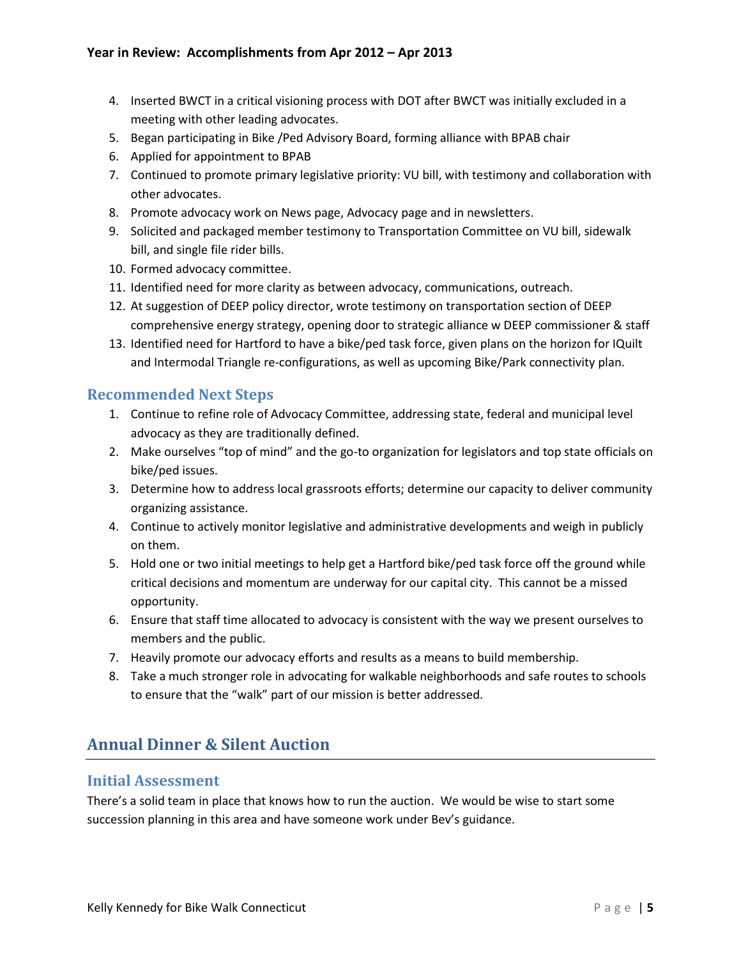- 4. Inserted BWCT in a critical visioning process with DOT after BWCT was initially excluded in a meeting with other leading advocates.
- 5. Began participating in Bike /Ped Advisory Board, forming alliance with BPAB chair
- 6. Applied for appointment to BPAB
- 7. Continued to promote primary legislative priority: VU bill, with testimony and collaboration with other advocates.
- 8. Promote advocacy work on News page, Advocacy page and in newsletters.
- 9. Solicited and packaged member testimony to Transportation Committee on VU bill, sidewalk bill, and single file rider bills.
- 10. Formed advocacy committee.
- 11. Identified need for more clarity as between advocacy, communications, outreach.
- 12. At suggestion of DEEP policy director, wrote testimony on transportation section of DEEP comprehensive energy strategy, opening door to strategic alliance w DEEP commissioner & staff
- 13. Identified need for Hartford to have a bike/ped task force, given plans on the horizon for IQuilt and Intermodal Triangle re-configurations, as well as upcoming Bike/Park connectivity plan.

# **Recommended Next Steps**

- 1. Continue to refine role of Advocacy Committee, addressing state, federal and municipal level advocacy as they are traditionally defined.
- 2. Make ourselves "top of mind" and the go-to organization for legislators and top state officials on bike/ped issues.
- 3. Determine how to address local grassroots efforts; determine our capacity to deliver community organizing assistance.
- 4. Continue to actively monitor legislative and administrative developments and weigh in publicly on them.
- 5. Hold one or two initial meetings to help get a Hartford bike/ped task force off the ground while critical decisions and momentum are underway for our capital city. This cannot be a missed opportunity.
- 6. Ensure that staff time allocated to advocacy is consistent with the way we present ourselves to members and the public.
- 7. Heavily promote our advocacy efforts and results as a means to build membership.
- 8. Take a much stronger role in advocating for walkable neighborhoods and safe routes to schools to ensure that the "walk" part of our mission is better addressed.

# **Annual Dinner & Silent Auction**

#### **Initial Assessment**

There's a solid team in place that knows how to run the auction. We would be wise to start some succession planning in this area and have someone work under Bev's guidance.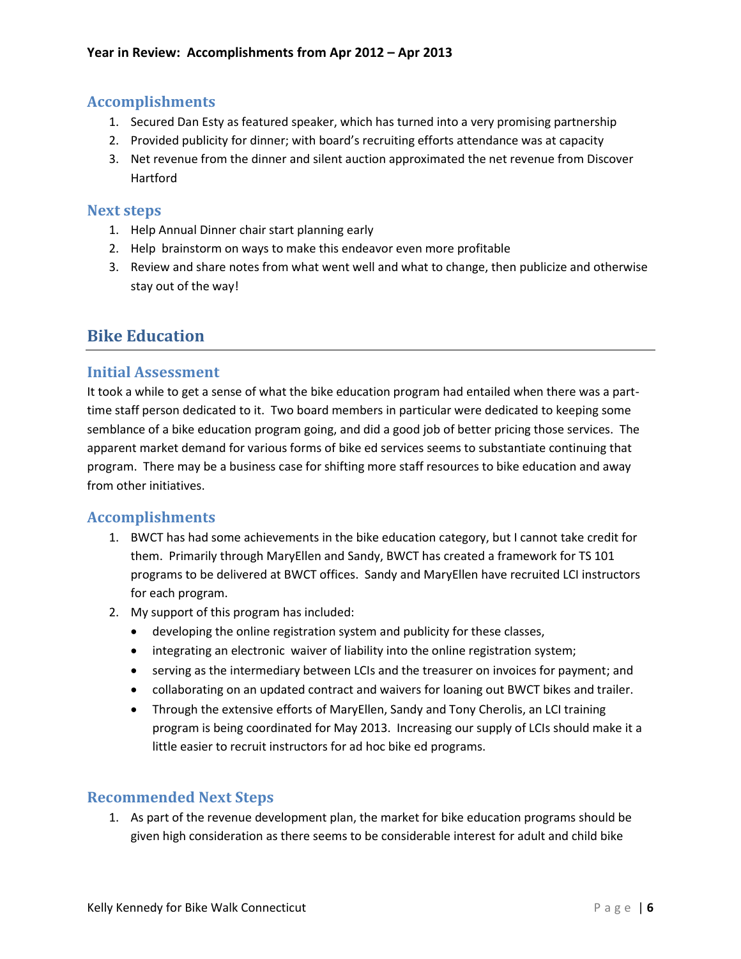# **Accomplishments**

- 1. Secured Dan Esty as featured speaker, which has turned into a very promising partnership
- 2. Provided publicity for dinner; with board's recruiting efforts attendance was at capacity
- 3. Net revenue from the dinner and silent auction approximated the net revenue from Discover Hartford

#### **Next steps**

- 1. Help Annual Dinner chair start planning early
- 2. Help brainstorm on ways to make this endeavor even more profitable
- 3. Review and share notes from what went well and what to change, then publicize and otherwise stay out of the way!

# **Bike Education**

# **Initial Assessment**

It took a while to get a sense of what the bike education program had entailed when there was a parttime staff person dedicated to it. Two board members in particular were dedicated to keeping some semblance of a bike education program going, and did a good job of better pricing those services. The apparent market demand for various forms of bike ed services seems to substantiate continuing that program. There may be a business case for shifting more staff resources to bike education and away from other initiatives.

# **Accomplishments**

- 1. BWCT has had some achievements in the bike education category, but I cannot take credit for them. Primarily through MaryEllen and Sandy, BWCT has created a framework for TS 101 programs to be delivered at BWCT offices. Sandy and MaryEllen have recruited LCI instructors for each program.
- 2. My support of this program has included:
	- developing the online registration system and publicity for these classes,
	- integrating an electronic waiver of liability into the online registration system;
	- serving as the intermediary between LCIs and the treasurer on invoices for payment; and
	- collaborating on an updated contract and waivers for loaning out BWCT bikes and trailer.
	- Through the extensive efforts of MaryEllen, Sandy and Tony Cherolis, an LCI training program is being coordinated for May 2013. Increasing our supply of LCIs should make it a little easier to recruit instructors for ad hoc bike ed programs.

# **Recommended Next Steps**

1. As part of the revenue development plan, the market for bike education programs should be given high consideration as there seems to be considerable interest for adult and child bike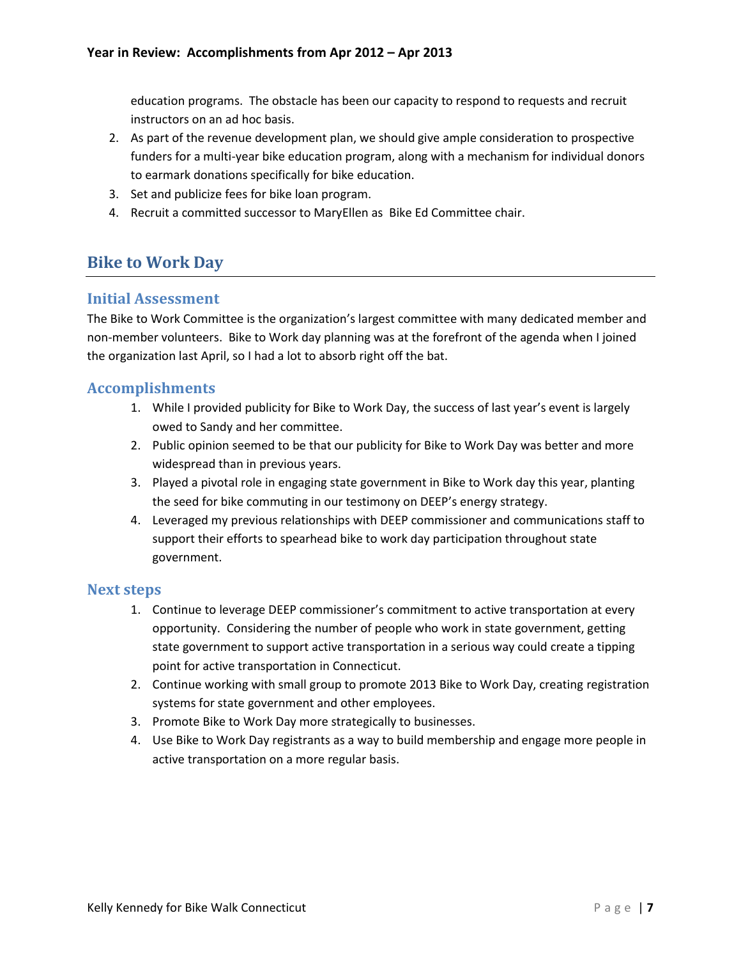education programs. The obstacle has been our capacity to respond to requests and recruit instructors on an ad hoc basis.

- 2. As part of the revenue development plan, we should give ample consideration to prospective funders for a multi-year bike education program, along with a mechanism for individual donors to earmark donations specifically for bike education.
- 3. Set and publicize fees for bike loan program.
- 4. Recruit a committed successor to MaryEllen as Bike Ed Committee chair.

# **Bike to Work Day**

#### **Initial Assessment**

The Bike to Work Committee is the organization's largest committee with many dedicated member and non-member volunteers. Bike to Work day planning was at the forefront of the agenda when I joined the organization last April, so I had a lot to absorb right off the bat.

#### **Accomplishments**

- 1. While I provided publicity for Bike to Work Day, the success of last year's event is largely owed to Sandy and her committee.
- 2. Public opinion seemed to be that our publicity for Bike to Work Day was better and more widespread than in previous years.
- 3. Played a pivotal role in engaging state government in Bike to Work day this year, planting the seed for bike commuting in our testimony on DEEP's energy strategy.
- 4. Leveraged my previous relationships with DEEP commissioner and communications staff to support their efforts to spearhead bike to work day participation throughout state government.

#### **Next steps**

- 1. Continue to leverage DEEP commissioner's commitment to active transportation at every opportunity. Considering the number of people who work in state government, getting state government to support active transportation in a serious way could create a tipping point for active transportation in Connecticut.
- 2. Continue working with small group to promote 2013 Bike to Work Day, creating registration systems for state government and other employees.
- 3. Promote Bike to Work Day more strategically to businesses.
- 4. Use Bike to Work Day registrants as a way to build membership and engage more people in active transportation on a more regular basis.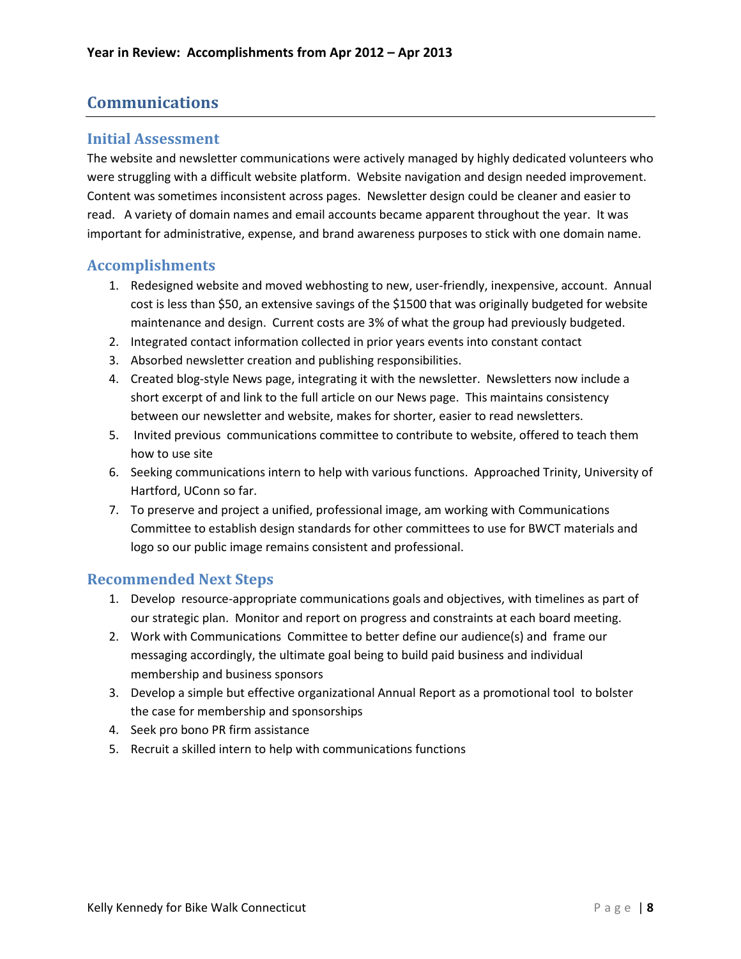# **Communications**

#### **Initial Assessment**

The website and newsletter communications were actively managed by highly dedicated volunteers who were struggling with a difficult website platform. Website navigation and design needed improvement. Content was sometimes inconsistent across pages. Newsletter design could be cleaner and easier to read. A variety of domain names and email accounts became apparent throughout the year. It was important for administrative, expense, and brand awareness purposes to stick with one domain name.

#### **Accomplishments**

- 1. Redesigned website and moved webhosting to new, user-friendly, inexpensive, account. Annual cost is less than \$50, an extensive savings of the \$1500 that was originally budgeted for website maintenance and design. Current costs are 3% of what the group had previously budgeted.
- 2. Integrated contact information collected in prior years events into constant contact
- 3. Absorbed newsletter creation and publishing responsibilities.
- 4. Created blog-style News page, integrating it with the newsletter. Newsletters now include a short excerpt of and link to the full article on our News page. This maintains consistency between our newsletter and website, makes for shorter, easier to read newsletters.
- 5. Invited previous communications committee to contribute to website, offered to teach them how to use site
- 6. Seeking communications intern to help with various functions. Approached Trinity, University of Hartford, UConn so far.
- 7. To preserve and project a unified, professional image, am working with Communications Committee to establish design standards for other committees to use for BWCT materials and logo so our public image remains consistent and professional.

#### **Recommended Next Steps**

- 1. Develop resource-appropriate communications goals and objectives, with timelines as part of our strategic plan. Monitor and report on progress and constraints at each board meeting.
- 2. Work with Communications Committee to better define our audience(s) and frame our messaging accordingly, the ultimate goal being to build paid business and individual membership and business sponsors
- 3. Develop a simple but effective organizational Annual Report as a promotional tool to bolster the case for membership and sponsorships
- 4. Seek pro bono PR firm assistance
- 5. Recruit a skilled intern to help with communications functions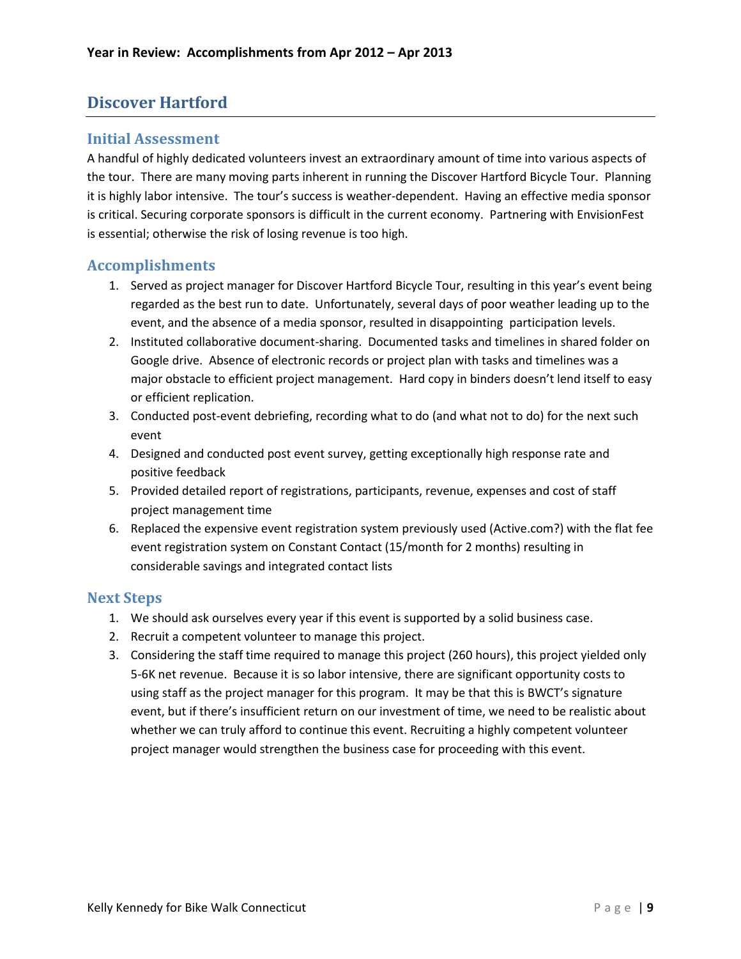# **Discover Hartford**

#### **Initial Assessment**

A handful of highly dedicated volunteers invest an extraordinary amount of time into various aspects of the tour. There are many moving parts inherent in running the Discover Hartford Bicycle Tour. Planning it is highly labor intensive. The tour's success is weather-dependent. Having an effective media sponsor is critical. Securing corporate sponsors is difficult in the current economy. Partnering with EnvisionFest is essential; otherwise the risk of losing revenue is too high.

# **Accomplishments**

- 1. Served as project manager for Discover Hartford Bicycle Tour, resulting in this year's event being regarded as the best run to date. Unfortunately, several days of poor weather leading up to the event, and the absence of a media sponsor, resulted in disappointing participation levels.
- 2. Instituted collaborative document-sharing. Documented tasks and timelines in shared folder on Google drive. Absence of electronic records or project plan with tasks and timelines was a major obstacle to efficient project management. Hard copy in binders doesn't lend itself to easy or efficient replication.
- 3. Conducted post-event debriefing, recording what to do (and what not to do) for the next such event
- 4. Designed and conducted post event survey, getting exceptionally high response rate and positive feedback
- 5. Provided detailed report of registrations, participants, revenue, expenses and cost of staff project management time
- 6. Replaced the expensive event registration system previously used (Active.com?) with the flat fee event registration system on Constant Contact (15/month for 2 months) resulting in considerable savings and integrated contact lists

#### **Next Steps**

- 1. We should ask ourselves every year if this event is supported by a solid business case.
- 2. Recruit a competent volunteer to manage this project.
- 3. Considering the staff time required to manage this project (260 hours), this project yielded only 5-6K net revenue. Because it is so labor intensive, there are significant opportunity costs to using staff as the project manager for this program. It may be that this is BWCT's signature event, but if there's insufficient return on our investment of time, we need to be realistic about whether we can truly afford to continue this event. Recruiting a highly competent volunteer project manager would strengthen the business case for proceeding with this event.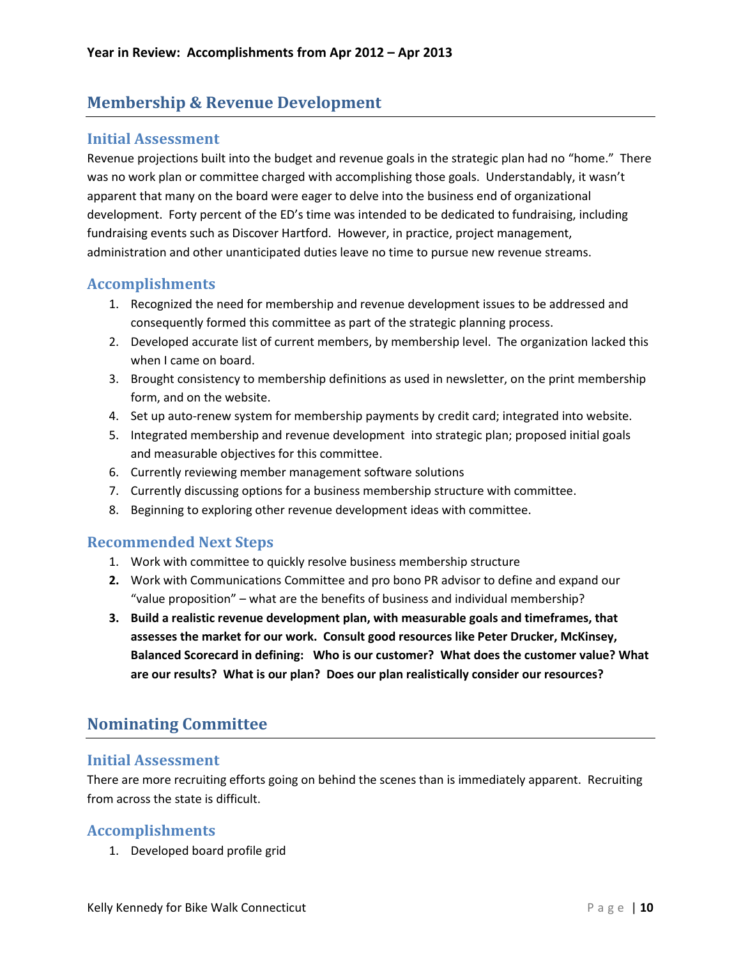# **Membership & Revenue Development**

#### **Initial Assessment**

Revenue projections built into the budget and revenue goals in the strategic plan had no "home." There was no work plan or committee charged with accomplishing those goals. Understandably, it wasn't apparent that many on the board were eager to delve into the business end of organizational development. Forty percent of the ED's time was intended to be dedicated to fundraising, including fundraising events such as Discover Hartford. However, in practice, project management, administration and other unanticipated duties leave no time to pursue new revenue streams.

# **Accomplishments**

- 1. Recognized the need for membership and revenue development issues to be addressed and consequently formed this committee as part of the strategic planning process.
- 2. Developed accurate list of current members, by membership level. The organization lacked this when I came on board.
- 3. Brought consistency to membership definitions as used in newsletter, on the print membership form, and on the website.
- 4. Set up auto-renew system for membership payments by credit card; integrated into website.
- 5. Integrated membership and revenue development into strategic plan; proposed initial goals and measurable objectives for this committee.
- 6. Currently reviewing member management software solutions
- 7. Currently discussing options for a business membership structure with committee.
- 8. Beginning to exploring other revenue development ideas with committee.

# **Recommended Next Steps**

- 1. Work with committee to quickly resolve business membership structure
- **2.** Work with Communications Committee and pro bono PR advisor to define and expand our "value proposition" – what are the benefits of business and individual membership?
- **3. Build a realistic revenue development plan, with measurable goals and timeframes, that assesses the market for our work. Consult good resources like Peter Drucker, McKinsey, Balanced Scorecard in defining: Who is our customer? What does the customer value? What are our results? What is our plan? Does our plan realistically consider our resources?**

# **Nominating Committee**

#### **Initial Assessment**

There are more recruiting efforts going on behind the scenes than is immediately apparent. Recruiting from across the state is difficult.

# **Accomplishments**

1. Developed board profile grid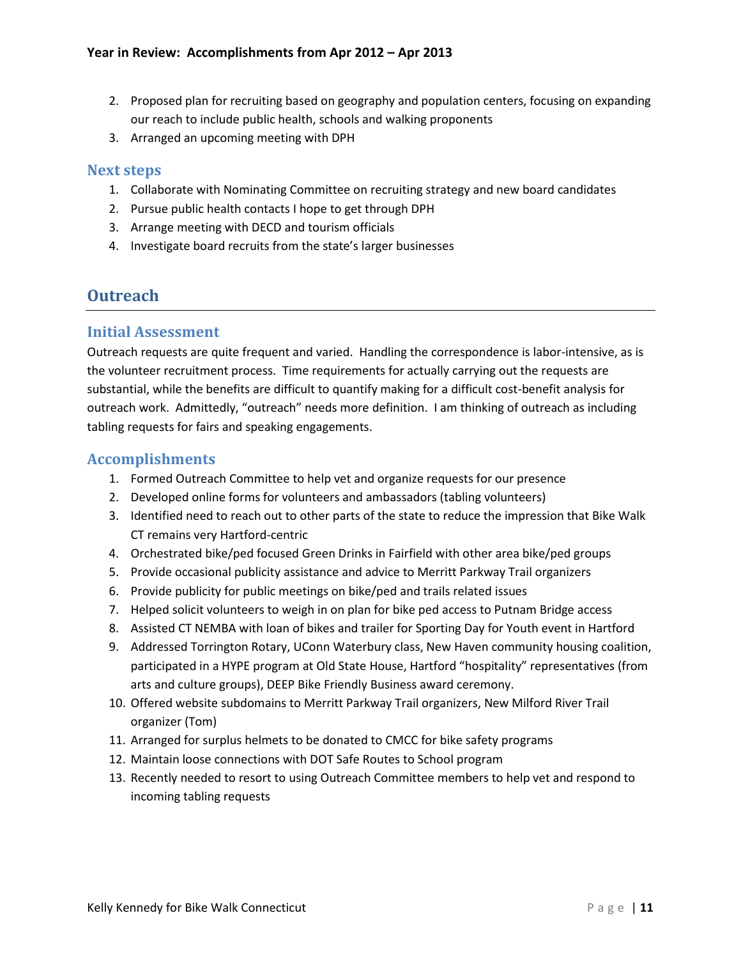- 2. Proposed plan for recruiting based on geography and population centers, focusing on expanding our reach to include public health, schools and walking proponents
- 3. Arranged an upcoming meeting with DPH

#### **Next steps**

- 1. Collaborate with Nominating Committee on recruiting strategy and new board candidates
- 2. Pursue public health contacts I hope to get through DPH
- 3. Arrange meeting with DECD and tourism officials
- 4. Investigate board recruits from the state's larger businesses

# **Outreach**

#### **Initial Assessment**

Outreach requests are quite frequent and varied. Handling the correspondence is labor-intensive, as is the volunteer recruitment process. Time requirements for actually carrying out the requests are substantial, while the benefits are difficult to quantify making for a difficult cost-benefit analysis for outreach work. Admittedly, "outreach" needs more definition. I am thinking of outreach as including tabling requests for fairs and speaking engagements.

# **Accomplishments**

- 1. Formed Outreach Committee to help vet and organize requests for our presence
- 2. Developed online forms for volunteers and ambassadors (tabling volunteers)
- 3. Identified need to reach out to other parts of the state to reduce the impression that Bike Walk CT remains very Hartford-centric
- 4. Orchestrated bike/ped focused Green Drinks in Fairfield with other area bike/ped groups
- 5. Provide occasional publicity assistance and advice to Merritt Parkway Trail organizers
- 6. Provide publicity for public meetings on bike/ped and trails related issues
- 7. Helped solicit volunteers to weigh in on plan for bike ped access to Putnam Bridge access
- 8. Assisted CT NEMBA with loan of bikes and trailer for Sporting Day for Youth event in Hartford
- 9. Addressed Torrington Rotary, UConn Waterbury class, New Haven community housing coalition, participated in a HYPE program at Old State House, Hartford "hospitality" representatives (from arts and culture groups), DEEP Bike Friendly Business award ceremony.
- 10. Offered website subdomains to Merritt Parkway Trail organizers, New Milford River Trail organizer (Tom)
- 11. Arranged for surplus helmets to be donated to CMCC for bike safety programs
- 12. Maintain loose connections with DOT Safe Routes to School program
- 13. Recently needed to resort to using Outreach Committee members to help vet and respond to incoming tabling requests